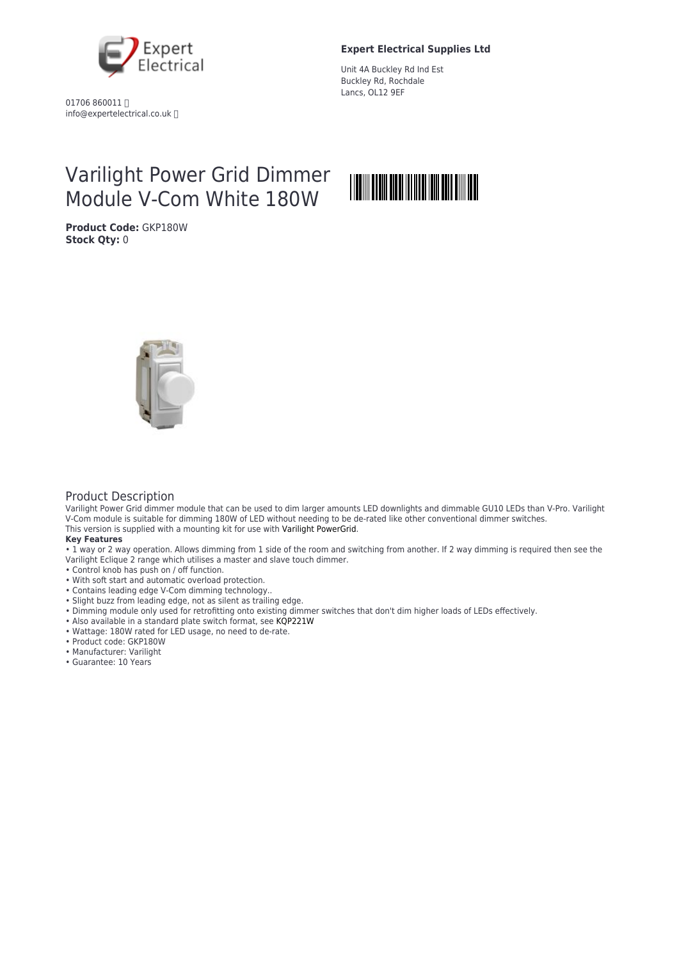

01706 860011 info@expertelectrical.co.uk

### **Expert Electrical Supplies Ltd**

Unit 4A Buckley Rd Ind Est Buckley Rd, Rochdale Lancs, OL12 9EF

# Varilight Power Grid Dimmer Module V-Com White 180W

**Product Code:** GKP180W **Stock Qty:** 0





#### Product Description

Varilight Power Grid dimmer module that can be used to dim larger amounts LED downlights and dimmable GU10 LEDs than V-Pro. Varilight V-Com module is suitable for dimming 180W of LED without needing to be de-rated like other conventional dimmer switches. This version is supplied with a mounting kit for use with [Varilight PowerGrid](https://www.downlightsdirect.co.uk/switches-and-sockets/data-points/varilight-powergrid-plates.html).

#### **Key Features**

• 1 way or 2 way operation. Allows dimming from 1 side of the room and switching from another. If 2 way dimming is required then see the Varilight Eclique 2 range which utilises a master and slave touch dimmer.

- Control knob has push on / off function.
- With soft start and automatic overload protection.
- Contains leading edge V-Com dimming technology..
- Slight buzz from leading edge, not as silent as trailing edge.
- Dimming module only used for retrofitting onto existing dimmer switches that don't dim higher loads of LEDs effectively.
- Also available in a standard plate switch format, see [KQP221W](https://www.downlightsdirect.co.uk/switches-and-sockets/dimmer-switches/varilight-v-com.html)
- Wattage: 180W rated for LED usage, no need to de-rate.
- Product code: GKP180W
- Manufacturer: Varilight
- Guarantee: 10 Years
-